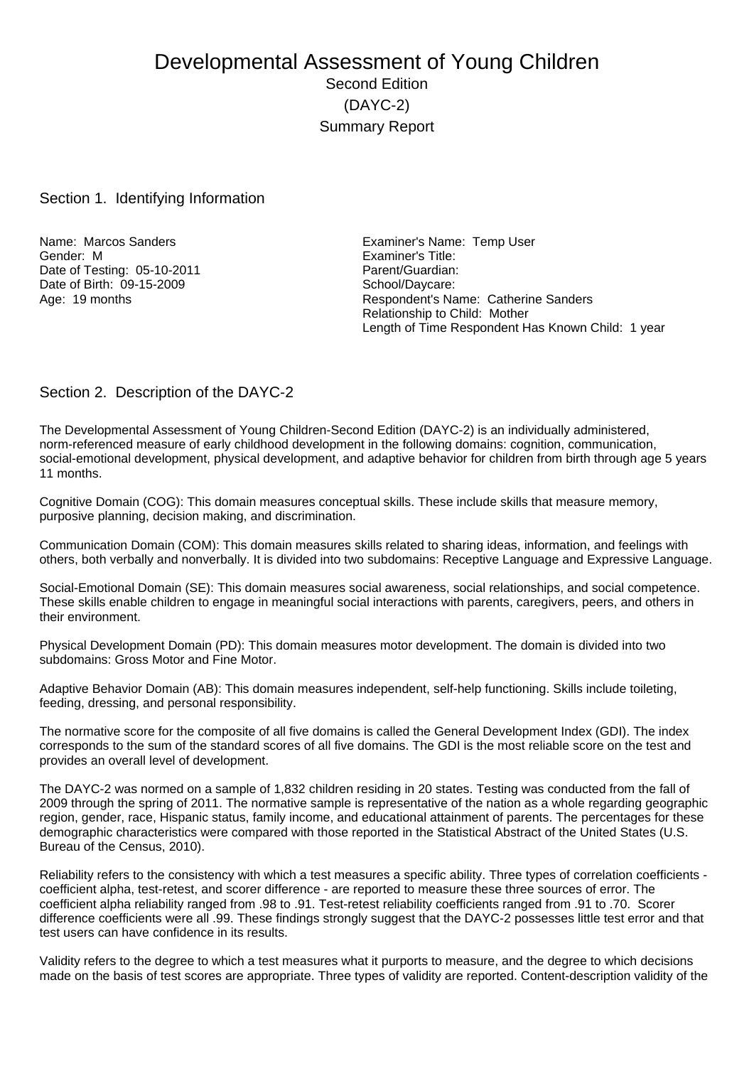# Developmental Assessment of Young Children Second Edition (DAYC-2) Summary Report

#### Section 1. Identifying Information

Gender: M Examiner's Title: Date of Testing: 05-10-2011 Parent/Guardian: Date of Birth:  $\overline{09}$ -15-2009<br>Age: 19 months

Name: Marcos Sanders **Examiner's Name: Temp User** Respondent's Name: Catherine Sanders Relationship to Child: Mother Length of Time Respondent Has Known Child: 1 year

### Section 2. Description of the DAYC-2

The Developmental Assessment of Young Children-Second Edition (DAYC-2) is an individually administered, norm-referenced measure of early childhood development in the following domains: cognition, communication, social-emotional development, physical development, and adaptive behavior for children from birth through age 5 years 11 months.

Cognitive Domain (COG): This domain measures conceptual skills. These include skills that measure memory, purposive planning, decision making, and discrimination.

Communication Domain (COM): This domain measures skills related to sharing ideas, information, and feelings with others, both verbally and nonverbally. It is divided into two subdomains: Receptive Language and Expressive Language.

Social-Emotional Domain (SE): This domain measures social awareness, social relationships, and social competence. These skills enable children to engage in meaningful social interactions with parents, caregivers, peers, and others in their environment.

Physical Development Domain (PD): This domain measures motor development. The domain is divided into two subdomains: Gross Motor and Fine Motor.

Adaptive Behavior Domain (AB): This domain measures independent, self-help functioning. Skills include toileting, feeding, dressing, and personal responsibility.

The normative score for the composite of all five domains is called the General Development Index (GDI). The index corresponds to the sum of the standard scores of all five domains. The GDI is the most reliable score on the test and provides an overall level of development.

The DAYC-2 was normed on a sample of 1,832 children residing in 20 states. Testing was conducted from the fall of 2009 through the spring of 2011. The normative sample is representative of the nation as a whole regarding geographic region, gender, race, Hispanic status, family income, and educational attainment of parents. The percentages for these demographic characteristics were compared with those reported in the Statistical Abstract of the United States (U.S. Bureau of the Census, 2010).

Reliability refers to the consistency with which a test measures a specific ability. Three types of correlation coefficients coefficient alpha, test-retest, and scorer difference - are reported to measure these three sources of error. The coefficient alpha reliability ranged from .98 to .91. Test-retest reliability coefficients ranged from .91 to .70. Scorer difference coefficients were all .99. These findings strongly suggest that the DAYC-2 possesses little test error and that test users can have confidence in its results.

Validity refers to the degree to which a test measures what it purports to measure, and the degree to which decisions made on the basis of test scores are appropriate. Three types of validity are reported. Content-description validity of the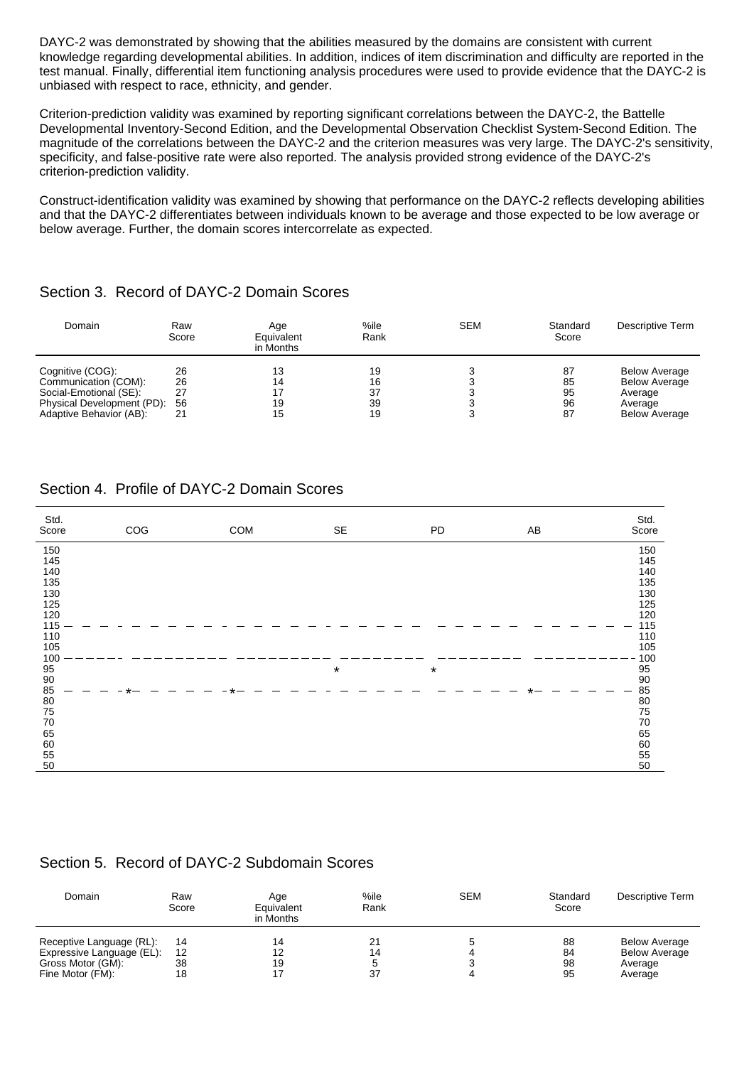DAYC-2 was demonstrated by showing that the abilities measured by the domains are consistent with current knowledge regarding developmental abilities. In addition, indices of item discrimination and difficulty are reported in the test manual. Finally, differential item functioning analysis procedures were used to provide evidence that the DAYC-2 is unbiased with respect to race, ethnicity, and gender.

Criterion-prediction validity was examined by reporting significant correlations between the DAYC-2, the Battelle Developmental Inventory-Second Edition, and the Developmental Observation Checklist System-Second Edition. The magnitude of the correlations between the DAYC-2 and the criterion measures was very large. The DAYC-2's sensitivity, specificity, and false-positive rate were also reported. The analysis provided strong evidence of the DAYC-2's criterion-prediction validity.

Construct-identification validity was examined by showing that performance on the DAYC-2 reflects developing abilities and that the DAYC-2 differentiates between individuals known to be average and those expected to be low average or below average. Further, the domain scores intercorrelate as expected.

# Section 3. Record of DAYC-2 Domain Scores

| Domain                                                                                           | Raw<br>Score         | Aqe<br>Equivalent<br>in Months | %ile<br>Rank         | <b>SEM</b> | Standard<br>Score    | Descriptive Term                                                   |
|--------------------------------------------------------------------------------------------------|----------------------|--------------------------------|----------------------|------------|----------------------|--------------------------------------------------------------------|
| Cognitive (COG):<br>Communication (COM):<br>Social-Emotional (SE):<br>Physical Development (PD): | 26<br>26<br>27<br>56 | 13<br>14<br>19                 | 19<br>16<br>37<br>39 |            | 87<br>85<br>95<br>96 | <b>Below Average</b><br><b>Below Average</b><br>Average<br>Average |
| Adaptive Behavior (AB):                                                                          | 21                   | 15                             | 19                   |            | 87                   | <b>Below Average</b>                                               |

# Section 4. Profile of DAYC-2 Domain Scores

| Std.<br>Score | COG | COM | SE      | PD      | AB | Std.<br>Score                           |
|---------------|-----|-----|---------|---------|----|-----------------------------------------|
| 150           |     |     |         |         |    | 150                                     |
| 145           |     |     |         |         |    | 145                                     |
| 140           |     |     |         |         |    | 140                                     |
| 135           |     |     |         |         |    | 135                                     |
| 130           |     |     |         |         |    | 130                                     |
| 125           |     |     |         |         |    | 125                                     |
| 120           |     |     |         |         |    | 120                                     |
| 115<br>110    |     |     |         |         |    | 115<br>110                              |
| 105           |     |     |         |         |    | 105                                     |
| 100           |     |     |         |         |    | 100                                     |
| 95            |     |     | $\star$ | $\star$ |    |                                         |
| $90\,$        |     |     |         |         |    | $\begin{array}{c} 95 \\ 90 \end{array}$ |
| 85            |     |     |         |         |    | 85                                      |
| $80\,$        |     |     |         |         |    |                                         |
| 75            |     |     |         |         |    | 80<br>75                                |
| 70            |     |     |         |         |    | $70\,$                                  |
| 65            |     |     |         |         |    | 65                                      |
| 60            |     |     |         |         |    | 60                                      |
| 55            |     |     |         |         |    | 55                                      |
| 50            |     |     |         |         |    | 50                                      |

# Section 5. Record of DAYC-2 Subdomain Scores

| Domain                                                | Raw<br>Score | Age<br>Equivalent<br>in Months | %ile<br>Rank | <b>SEM</b> | Standard<br>Score | Descriptive Term                             |
|-------------------------------------------------------|--------------|--------------------------------|--------------|------------|-------------------|----------------------------------------------|
| Receptive Language (RL):<br>Expressive Language (EL): | 14<br>12     |                                | 21<br>14     |            | 88<br>84          | <b>Below Average</b><br><b>Below Average</b> |
| Gross Motor (GM):<br>Fine Motor (FM):                 | 38<br>18     | 19                             | 37           |            | 98<br>95          | Average<br>Average                           |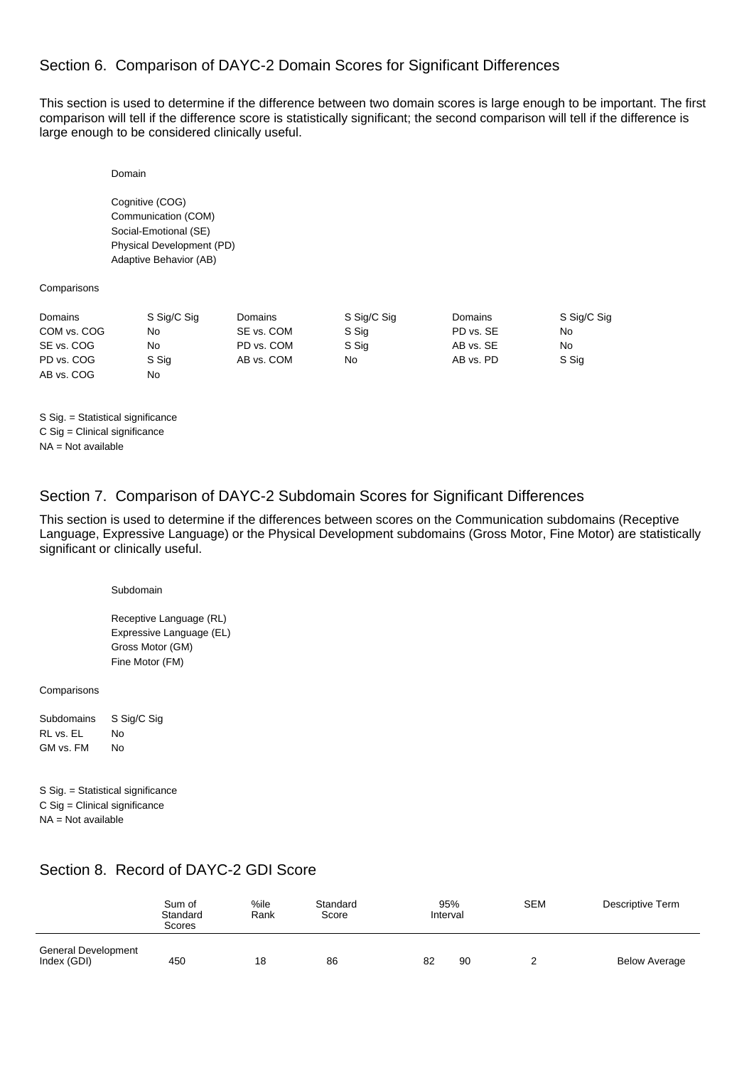# Section 6. Comparison of DAYC-2 Domain Scores for Significant Differences

This section is used to determine if the difference between two domain scores is large enough to be important. The first comparison will tell if the difference score is statistically significant; the second comparison will tell if the difference is large enough to be considered clinically useful.

Domain

Cognitive (COG) Communication (COM) Social-Emotional (SE) Physical Development (PD) Adaptive Behavior (AB)

**Comparisons** 

| Domains     | S Sig/C Sig | <b>Domains</b> | S Sig/C Sig | Domains   | S Sig/C Sig |
|-------------|-------------|----------------|-------------|-----------|-------------|
| COM vs. COG | No          | SE vs. COM     | S Sig       | PD vs. SE | No          |
| SE vs. COG  | No          | PD vs. COM     | S Sig       | AB vs. SE | No.         |
| PD vs. COG  | S Sig       | AB vs. COM     | No          | AB vs. PD | S Sig       |
| AB vs. COG  | No          |                |             |           |             |

S Sig. = Statistical significance C Sig = Clinical significance NA = Not available

### Section 7. Comparison of DAYC-2 Subdomain Scores for Significant Differences

This section is used to determine if the differences between scores on the Communication subdomains (Receptive Language, Expressive Language) or the Physical Development subdomains (Gross Motor, Fine Motor) are statistically significant or clinically useful.

Subdomain

Receptive Language (RL) Expressive Language (EL) Gross Motor (GM) Fine Motor (FM)

Comparisons

Subdomains S Sig/C Sig RL vs. EL No GM vs. FM No

S Sig. = Statistical significance C Sig = Clinical significance NA = Not available

# Section 8. Record of DAYC-2 GDI Score

|                                    | Sum of<br>Standard<br>Scores | %ile<br>Rank | Standard<br>Score | 95%<br>Interval | <b>SEM</b> | Descriptive Term     |
|------------------------------------|------------------------------|--------------|-------------------|-----------------|------------|----------------------|
| General Development<br>Index (GDI) | 450                          | 18           | 86                | 90<br>82        |            | <b>Below Average</b> |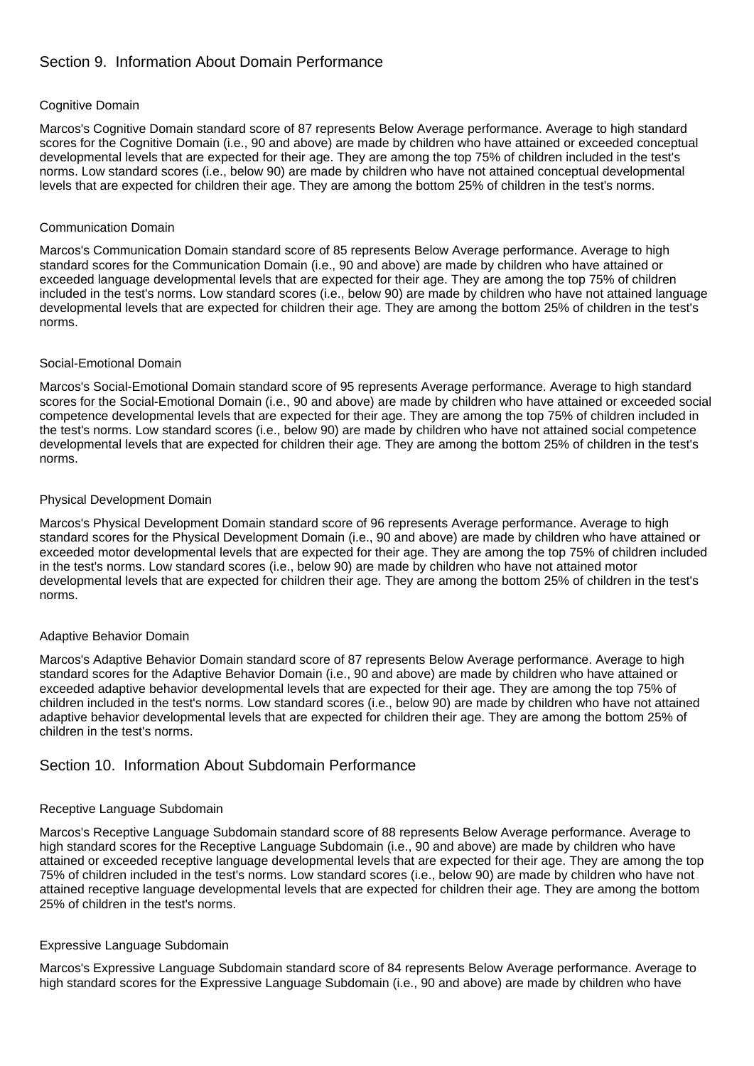# Section 9. Information About Domain Performance

#### Cognitive Domain

Marcos's Cognitive Domain standard score of 87 represents Below Average performance. Average to high standard scores for the Cognitive Domain (i.e., 90 and above) are made by children who have attained or exceeded conceptual developmental levels that are expected for their age. They are among the top 75% of children included in the test's norms. Low standard scores (i.e., below 90) are made by children who have not attained conceptual developmental levels that are expected for children their age. They are among the bottom 25% of children in the test's norms.

#### Communication Domain

Marcos's Communication Domain standard score of 85 represents Below Average performance. Average to high standard scores for the Communication Domain (i.e., 90 and above) are made by children who have attained or exceeded language developmental levels that are expected for their age. They are among the top 75% of children included in the test's norms. Low standard scores (i.e., below 90) are made by children who have not attained language developmental levels that are expected for children their age. They are among the bottom 25% of children in the test's norms.

#### Social-Emotional Domain

Marcos's Social-Emotional Domain standard score of 95 represents Average performance. Average to high standard scores for the Social-Emotional Domain (i.e., 90 and above) are made by children who have attained or exceeded social competence developmental levels that are expected for their age. They are among the top 75% of children included in the test's norms. Low standard scores (i.e., below 90) are made by children who have not attained social competence developmental levels that are expected for children their age. They are among the bottom 25% of children in the test's norms.

#### Physical Development Domain

Marcos's Physical Development Domain standard score of 96 represents Average performance. Average to high standard scores for the Physical Development Domain (i.e., 90 and above) are made by children who have attained or exceeded motor developmental levels that are expected for their age. They are among the top 75% of children included in the test's norms. Low standard scores (i.e., below 90) are made by children who have not attained motor developmental levels that are expected for children their age. They are among the bottom 25% of children in the test's norms.

#### Adaptive Behavior Domain

Marcos's Adaptive Behavior Domain standard score of 87 represents Below Average performance. Average to high standard scores for the Adaptive Behavior Domain (i.e., 90 and above) are made by children who have attained or exceeded adaptive behavior developmental levels that are expected for their age. They are among the top 75% of children included in the test's norms. Low standard scores (i.e., below 90) are made by children who have not attained adaptive behavior developmental levels that are expected for children their age. They are among the bottom 25% of children in the test's norms.

### Section 10. Information About Subdomain Performance

#### Receptive Language Subdomain

Marcos's Receptive Language Subdomain standard score of 88 represents Below Average performance. Average to high standard scores for the Receptive Language Subdomain (i.e., 90 and above) are made by children who have attained or exceeded receptive language developmental levels that are expected for their age. They are among the top 75% of children included in the test's norms. Low standard scores (i.e., below 90) are made by children who have not attained receptive language developmental levels that are expected for children their age. They are among the bottom 25% of children in the test's norms.

#### Expressive Language Subdomain

Marcos's Expressive Language Subdomain standard score of 84 represents Below Average performance. Average to high standard scores for the Expressive Language Subdomain (i.e., 90 and above) are made by children who have